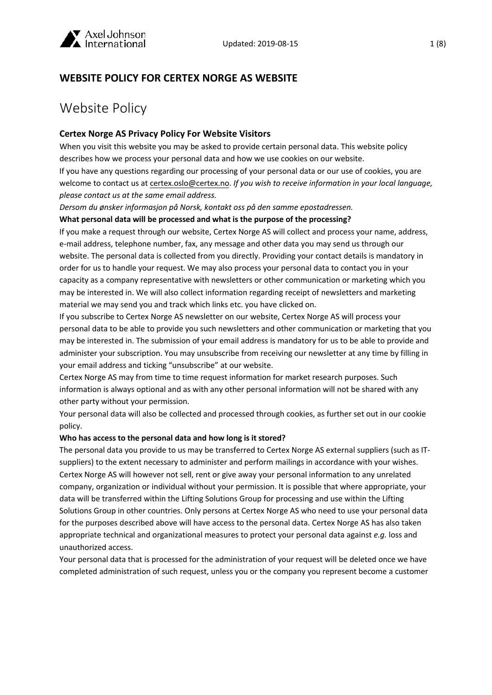

# **WEBSITE POLICY FOR CERTEX NORGE AS WEBSITE**

# Website Policy

### **Certex Norge AS Privacy Policy For Website Visitors**

When you visit this website you may be asked to provide certain personal data. This website policy describes how we process your personal data and how we use cookies on our website.

If you have any questions regarding our processing of your personal data or our use of cookies, you are welcome to contact us at certex.oslo@certex.no. *If you wish to receive information in your local language, please contact us at the same email address.* 

*Dersom du ønsker informasjon på Norsk, kontakt oss på den samme epostadressen.*

#### **What personal data will be processed and what is the purpose of the processing?**

If you make a request through our website, Certex Norge AS will collect and process your name, address, e-mail address, telephone number, fax, any message and other data you may send us through our website. The personal data is collected from you directly. Providing your contact details is mandatory in order for us to handle your request. We may also process your personal data to contact you in your capacity as a company representative with newsletters or other communication or marketing which you may be interested in. We will also collect information regarding receipt of newsletters and marketing material we may send you and track which links etc. you have clicked on.

If you subscribe to Certex Norge AS newsletter on our website, Certex Norge AS will process your personal data to be able to provide you such newsletters and other communication or marketing that you may be interested in. The submission of your email address is mandatory for us to be able to provide and administer your subscription. You may unsubscribe from receiving our newsletter at any time by filling in your email address and ticking "unsubscribe" at our website.

Certex Norge AS may from time to time request information for market research purposes. Such information is always optional and as with any other personal information will not be shared with any other party without your permission.

Your personal data will also be collected and processed through cookies, as further set out in our cookie policy.

#### **Who has access to the personal data and how long is it stored?**

The personal data you provide to us may be transferred to Certex Norge AS external suppliers (such as ITsuppliers) to the extent necessary to administer and perform mailings in accordance with your wishes. Certex Norge AS will however not sell, rent or give away your personal information to any unrelated company, organization or individual without your permission. It is possible that where appropriate, your data will be transferred within the Lifting Solutions Group for processing and use within the Lifting Solutions Group in other countries. Only persons at Certex Norge AS who need to use your personal data for the purposes described above will have access to the personal data. Certex Norge AS has also taken appropriate technical and organizational measures to protect your personal data against *e.g.* loss and unauthorized access.

Your personal data that is processed for the administration of your request will be deleted once we have completed administration of such request, unless you or the company you represent become a customer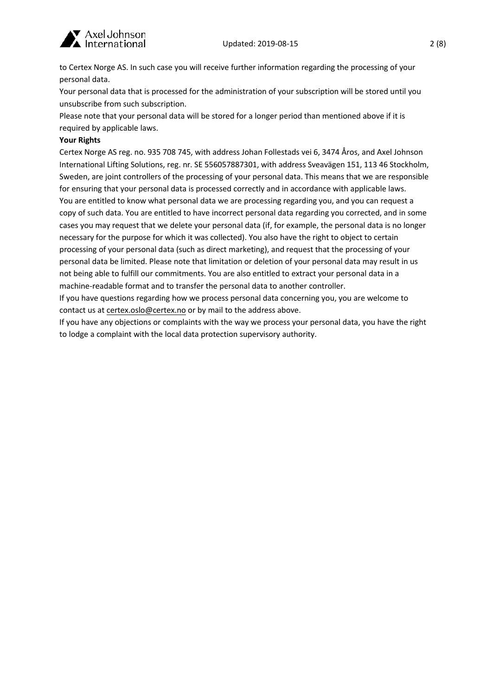

to Certex Norge AS. In such case you will receive further information regarding the processing of your personal data.

Your personal data that is processed for the administration of your subscription will be stored until you unsubscribe from such subscription.

Please note that your personal data will be stored for a longer period than mentioned above if it is required by applicable laws.

#### **Your Rights**

Certex Norge AS reg. no. 935 708 745, with address Johan Follestads vei 6, 3474 Åros, and Axel Johnson International Lifting Solutions, reg. nr. SE 556057887301, with address Sveavägen 151, 113 46 Stockholm, Sweden, are joint controllers of the processing of your personal data. This means that we are responsible for ensuring that your personal data is processed correctly and in accordance with applicable laws. You are entitled to know what personal data we are processing regarding you, and you can request a copy of such data. You are entitled to have incorrect personal data regarding you corrected, and in some cases you may request that we delete your personal data (if, for example, the personal data is no longer necessary for the purpose for which it was collected). You also have the right to object to certain processing of your personal data (such as direct marketing), and request that the processing of your personal data be limited. Please note that limitation or deletion of your personal data may result in us not being able to fulfill our commitments. You are also entitled to extract your personal data in a machine-readable format and to transfer the personal data to another controller.

If you have questions regarding how we process personal data concerning you, you are welcome to contact us at certex.oslo@certex.no or by mail to the address above.

If you have any objections or complaints with the way we process your personal data, you have the right to lodge a complaint with the local data protection supervisory authority.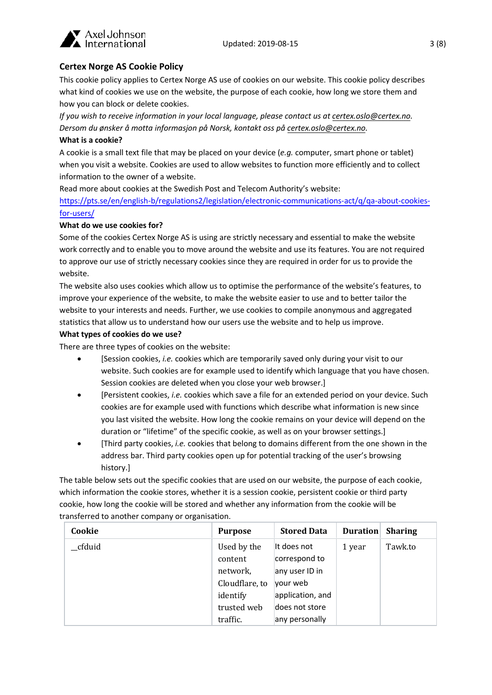

# **Certex Norge AS Cookie Policy**

This cookie policy applies to Certex Norge AS use of cookies on our website. This cookie policy describes what kind of cookies we use on the website, the purpose of each cookie, how long we store them and how you can block or delete cookies.

*If you wish to receive information in your local language, please contact us at certex.oslo@certex.no. Dersom du ønsker å motta informasjon på Norsk, kontakt oss på certex.oslo@certex.no.*

#### **What is a cookie?**

A cookie is a small text file that may be placed on your device (*e.g.* computer, smart phone or tablet) when you visit a website. Cookies are used to allow websites to function more efficiently and to collect information to the owner of a website.

Read more about cookies at the Swedish Post and Telecom Authority's website:

[https://pts.se/en/english-b/regulations2/legislation/electronic-communications-act/q/qa-about-cookies](https://pts.se/en/english-b/regulations2/legislation/electronic-communications-act/q/qa-about-cookies-for-users/)[for-users/](https://pts.se/en/english-b/regulations2/legislation/electronic-communications-act/q/qa-about-cookies-for-users/)

#### **What do we use cookies for?**

Some of the cookies Certex Norge AS is using are strictly necessary and essential to make the website work correctly and to enable you to move around the website and use its features. You are not required to approve our use of strictly necessary cookies since they are required in order for us to provide the website.

The website also uses cookies which allow us to optimise the performance of the website's features, to improve your experience of the website, to make the website easier to use and to better tailor the website to your interests and needs. Further, we use cookies to compile anonymous and aggregated statistics that allow us to understand how our users use the website and to help us improve.

#### **What types of cookies do we use?**

There are three types of cookies on the website:

- [Session cookies, *i.e.* cookies which are temporarily saved only during your visit to our website. Such cookies are for example used to identify which language that you have chosen. Session cookies are deleted when you close your web browser.]
- [Persistent cookies, *i.e.* cookies which save a file for an extended period on your device. Such cookies are for example used with functions which describe what information is new since you last visited the website. How long the cookie remains on your device will depend on the duration or "lifetime" of the specific cookie, as well as on your browser settings.]
- [Third party cookies, *i.e.* cookies that belong to domains different from the one shown in the address bar. Third party cookies open up for potential tracking of the user's browsing history.]

The table below sets out the specific cookies that are used on our website, the purpose of each cookie, which information the cookie stores, whether it is a session cookie, persistent cookie or third party cookie, how long the cookie will be stored and whether any information from the cookie will be transferred to another company or organisation.

| Cookie  | <b>Purpose</b>                                                                  | <b>Stored Data</b>                                                                               | <b>Duration</b> | <b>Sharing</b> |
|---------|---------------------------------------------------------------------------------|--------------------------------------------------------------------------------------------------|-----------------|----------------|
| _cfduid | Used by the<br>content<br>network,<br>Cloudflare, to<br>identify<br>trusted web | It does not<br>correspond to<br>any user ID in<br>your web<br>application, and<br>does not store | 1 year          | Tawk.to        |
|         | traffic.                                                                        | any personally                                                                                   |                 |                |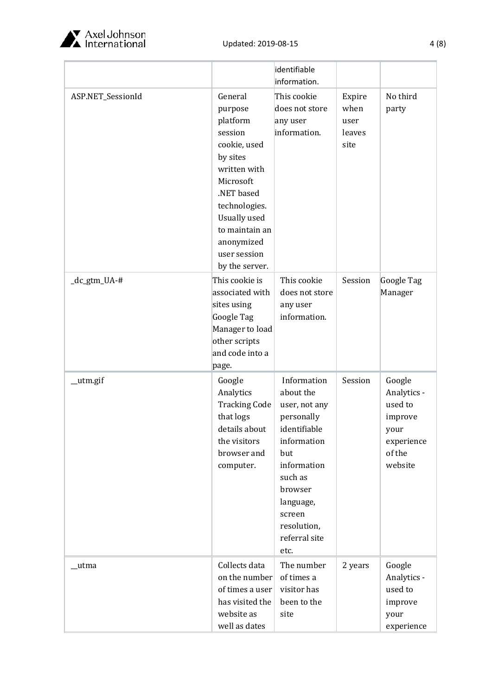

|                   |                      | identifiable   |         |             |
|-------------------|----------------------|----------------|---------|-------------|
|                   |                      | information.   |         |             |
| ASP.NET_SessionId | General              | This cookie    | Expire  | No third    |
|                   | purpose              | does not store | when    | party       |
|                   | platform             | any user       | user    |             |
|                   | session              | information.   | leaves  |             |
|                   | cookie, used         |                | site    |             |
|                   | by sites             |                |         |             |
|                   | written with         |                |         |             |
|                   | Microsoft            |                |         |             |
|                   | .NET based           |                |         |             |
|                   | technologies.        |                |         |             |
|                   | Usually used         |                |         |             |
|                   | to maintain an       |                |         |             |
|                   | anonymized           |                |         |             |
|                   | user session         |                |         |             |
|                   | by the server.       |                |         |             |
| _dc_gtm_UA-#      | This cookie is       | This cookie    | Session | Google Tag  |
|                   | associated with      | does not store |         | Manager     |
|                   | sites using          | any user       |         |             |
|                   | Google Tag           | information.   |         |             |
|                   | Manager to load      |                |         |             |
|                   | other scripts        |                |         |             |
|                   | and code into a      |                |         |             |
|                   | page.                |                |         |             |
| _utm.gif          | Google               | Information    | Session | Google      |
|                   | Analytics            | about the      |         | Analytics - |
|                   | <b>Tracking Code</b> | user, not any  |         | used to     |
|                   | that logs            | personally     |         | improve     |
|                   | details about        | identifiable   |         | your        |
|                   | the visitors         | information    |         | experience  |
|                   | browser and          | but            |         | of the      |
|                   | computer.            | information    |         | website     |
|                   |                      | such as        |         |             |
|                   |                      | browser        |         |             |
|                   |                      | language,      |         |             |
|                   |                      | screen         |         |             |
|                   |                      | resolution,    |         |             |
|                   |                      | referral site  |         |             |
|                   |                      | etc.           |         |             |
| _utma             | Collects data        | The number     | 2 years | Google      |
|                   | on the number        | of times a     |         | Analytics - |
|                   | of times a user      | visitor has    |         | used to     |
|                   | has visited the      | been to the    |         | improve     |
|                   | website as           | site           |         | your        |
|                   | well as dates        |                |         | experience  |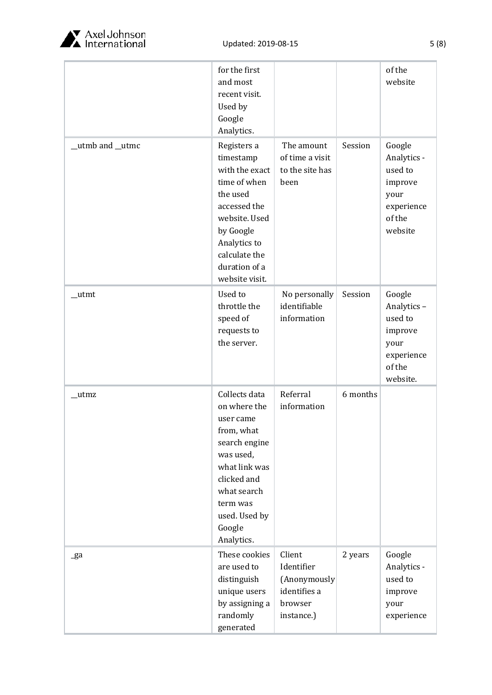

|                 | for the first<br>and most<br>recent visit.<br>Used by<br>Google<br>Analytics.                                                                                                              |                                                                               |          | of the<br>website                                                                      |
|-----------------|--------------------------------------------------------------------------------------------------------------------------------------------------------------------------------------------|-------------------------------------------------------------------------------|----------|----------------------------------------------------------------------------------------|
| _utmb and _utmc | Registers a<br>timestamp<br>with the exact<br>time of when<br>the used<br>accessed the<br>website. Used<br>by Google<br>Analytics to<br>calculate the<br>duration of a<br>website visit.   | The amount<br>of time a visit<br>to the site has<br>been                      | Session  | Google<br>Analytics -<br>used to<br>improve<br>your<br>experience<br>of the<br>website |
| _utmt           | Used to<br>throttle the<br>speed of<br>requests to<br>the server.                                                                                                                          | No personally<br>identifiable<br>information                                  | Session  | Google<br>Analytics-<br>used to<br>improve<br>your<br>experience<br>of the<br>website. |
| _utmz           | Collects data<br>on where the<br>user came<br>from, what<br>search engine<br>was used,<br>what link was<br>clicked and<br>what search<br>term was<br>used. Used by<br>Google<br>Analytics. | Referral<br>information                                                       | 6 months |                                                                                        |
| _ga             | These cookies<br>are used to<br>distinguish<br>unique users<br>by assigning a<br>randomly<br>generated                                                                                     | Client<br>Identifier<br>(Anonymously<br>identifies a<br>browser<br>instance.) | 2 years  | Google<br>Analytics -<br>used to<br>improve<br>your<br>experience                      |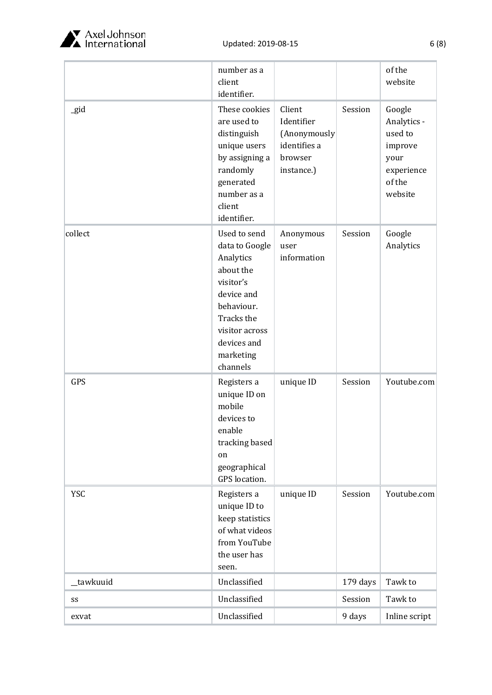

|            | number as a<br>client<br>identifier.                                                                                                                                      |                                                                               |          | of the<br>website                                                                      |
|------------|---------------------------------------------------------------------------------------------------------------------------------------------------------------------------|-------------------------------------------------------------------------------|----------|----------------------------------------------------------------------------------------|
| gid        | These cookies<br>are used to<br>distinguish<br>unique users<br>by assigning a<br>randomly<br>generated<br>number as a<br>client<br>identifier.                            | Client<br>Identifier<br>(Anonymously<br>identifies a<br>browser<br>instance.) | Session  | Google<br>Analytics -<br>used to<br>improve<br>your<br>experience<br>of the<br>website |
| collect    | Used to send<br>data to Google<br>Analytics<br>about the<br>visitor's<br>device and<br>behaviour.<br>Tracks the<br>visitor across<br>devices and<br>marketing<br>channels | Anonymous<br>user<br>information                                              | Session  | Google<br>Analytics                                                                    |
| GPS        | Registers a<br>unique ID on<br>mobile<br>devices to<br>enable<br>tracking based<br>on<br>geographical<br>GPS location.                                                    | unique ID                                                                     | Session  | Youtube.com                                                                            |
| <b>YSC</b> | Registers a<br>unique ID to<br>keep statistics<br>of what videos<br>from YouTube<br>the user has<br>seen.                                                                 | unique ID                                                                     | Session  | Youtube.com                                                                            |
| _tawkuuid  | Unclassified                                                                                                                                                              |                                                                               | 179 days | Tawk to                                                                                |
| SS         | Unclassified                                                                                                                                                              |                                                                               | Session  | Tawk to                                                                                |
| exvat      | Unclassified                                                                                                                                                              |                                                                               | 9 days   | Inline script                                                                          |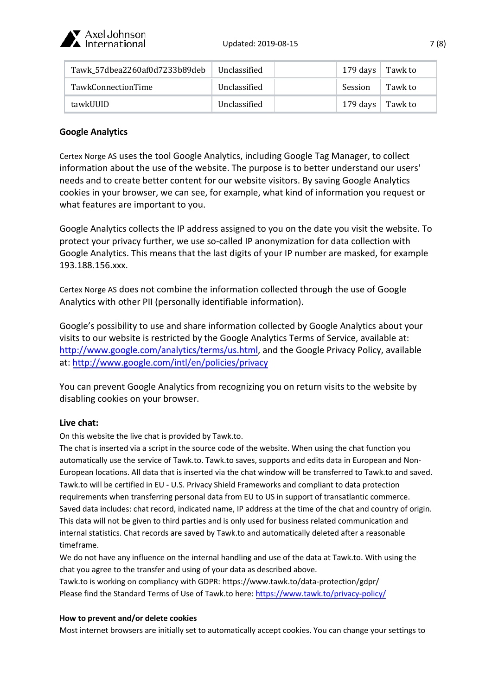

| Tawk_57dbea2260af0d7233b89deb | Unclassified | 179 days $\vert$ Tawk to |         |
|-------------------------------|--------------|--------------------------|---------|
| <b>TawkConnectionTime</b>     | Unclassified | Session                  | Tawk to |
| tawkUUID                      | Unclassified | 179 days $\vert$ Tawk to |         |

# **Google Analytics**

Certex Norge AS uses the tool Google Analytics, including Google Tag Manager, to collect information about the use of the website. The purpose is to better understand our users' needs and to create better content for our website visitors. By saving Google Analytics cookies in your browser, we can see, for example, what kind of information you request or what features are important to you.

Google Analytics collects the IP address assigned to you on the date you visit the website. To protect your privacy further, we use so-called IP anonymization for data collection with Google Analytics. This means that the last digits of your IP number are masked, for example 193.188.156.xxx.

Certex Norge AS does not combine the information collected through the use of Google Analytics with other PII (personally identifiable information).

Google's possibility to use and share information collected by Google Analytics about your visits to our website is restricted by the Google Analytics Terms of Service, available at: [http://www.google.com/analytics/terms/us.html,](http://www.google.com/analytics/terms/us.html) and the Google Privacy Policy, available at: [http://www.google.com/intl/en/policies/privacy](http://www.google.com/intl/en/policies/privacy/)

You can prevent Google Analytics from recognizing you on return visits to the website by disabling cookies on your browser.

# **Live chat:**

On this website the live chat is provided by Tawk.to.

The chat is inserted via a script in the source code of the website. When using the chat function you automatically use the service of Tawk.to. Tawk.to saves, supports and edits data in European and Non-European locations. All data that is inserted via the chat window will be transferred to Tawk.to and saved. Tawk.to will be certified in EU - U.S. Privacy Shield Frameworks and compliant to data protection requirements when transferring personal data from EU to US in support of transatlantic commerce. Saved data includes: chat record, indicated name, IP address at the time of the chat and country of origin. This data will not be given to third parties and is only used for business related communication and internal statistics. Chat records are saved by Tawk.to and automatically deleted after a reasonable timeframe.

We do not have any influence on the internal handling and use of the data at Tawk.to. With using the chat you agree to the transfer and using of your data as described above.

Tawk.to is working on compliancy with GDPR: https://www.tawk.to/data-protection/gdpr/ Please find the Standard Terms of Use of Tawk.to here: <https://www.tawk.to/privacy-policy/>

#### **How to prevent and/or delete cookies**

Most internet browsers are initially set to automatically accept cookies. You can change your settings to